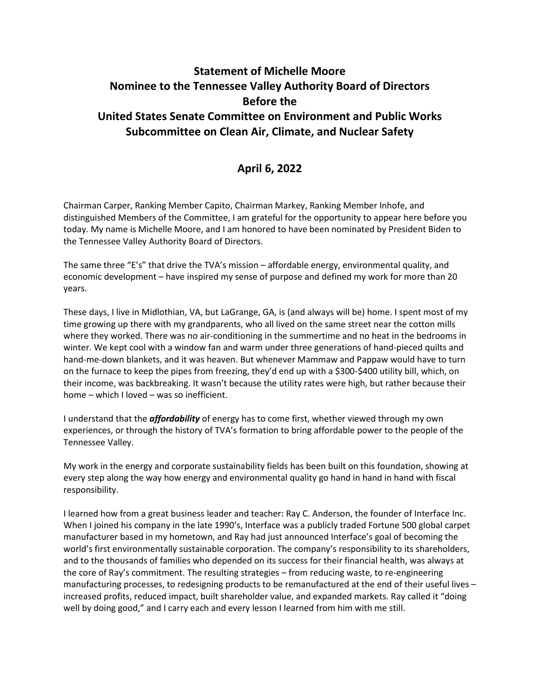## **Statement of Michelle Moore Nominee to the Tennessee Valley Authority Board of Directors Before the United States Senate Committee on Environment and Public Works Subcommittee on Clean Air, Climate, and Nuclear Safety**

## **April 6, 2022**

Chairman Carper, Ranking Member Capito, Chairman Markey, Ranking Member Inhofe, and distinguished Members of the Committee, I am grateful for the opportunity to appear here before you today. My name is Michelle Moore, and I am honored to have been nominated by President Biden to the Tennessee Valley Authority Board of Directors.

The same three "E's" that drive the TVA's mission – affordable energy, environmental quality, and economic development – have inspired my sense of purpose and defined my work for more than 20 years.

These days, I live in Midlothian, VA, but LaGrange, GA, is (and always will be) home. I spent most of my time growing up there with my grandparents, who all lived on the same street near the cotton mills where they worked. There was no air-conditioning in the summertime and no heat in the bedrooms in winter. We kept cool with a window fan and warm under three generations of hand-pieced quilts and hand-me-down blankets, and it was heaven. But whenever Mammaw and Pappaw would have to turn on the furnace to keep the pipes from freezing, they'd end up with a \$300-\$400 utility bill, which, on their income, was backbreaking. It wasn't because the utility rates were high, but rather because their home – which I loved – was so inefficient.

I understand that the *affordability* of energy has to come first, whether viewed through my own experiences, or through the history of TVA's formation to bring affordable power to the people of the Tennessee Valley.

My work in the energy and corporate sustainability fields has been built on this foundation, showing at every step along the way how energy and environmental quality go hand in hand in hand with fiscal responsibility.

I learned how from a great business leader and teacher: Ray C. Anderson, the founder of Interface Inc. When I joined his company in the late 1990's, Interface was a publicly traded Fortune 500 global carpet manufacturer based in my hometown, and Ray had just announced Interface's goal of becoming the world's first environmentally sustainable corporation. The company's responsibility to its shareholders, and to the thousands of families who depended on its success for their financial health, was always at the core of Ray's commitment. The resulting strategies – from reducing waste, to re-engineering manufacturing processes, to redesigning products to be remanufactured at the end of their useful lives – increased profits, reduced impact, built shareholder value, and expanded markets. Ray called it "doing well by doing good," and I carry each and every lesson I learned from him with me still.